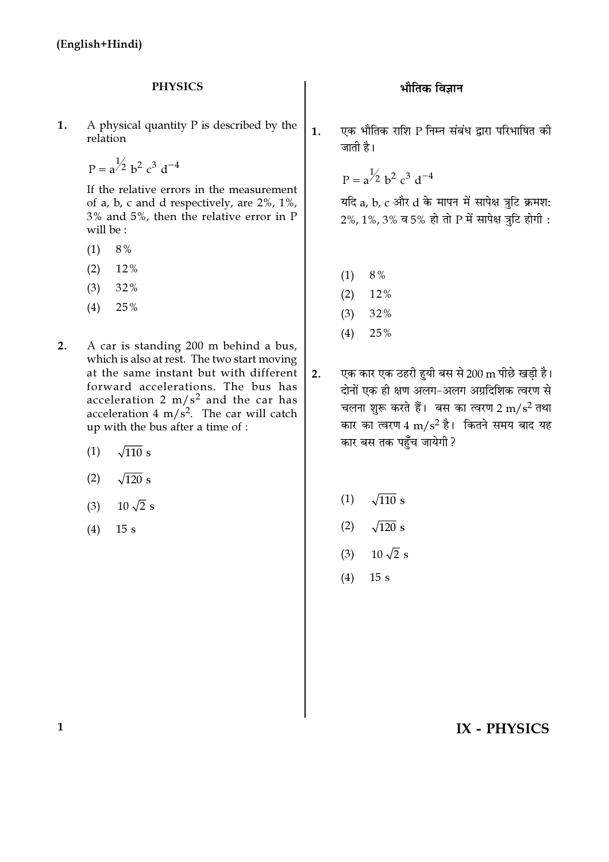#### **PHYSICS**

A physical quantity  $P$  is described by the 1. relation

$$
P = a^{\frac{1}{2}} b^2 c^3 d^{-4}
$$

If the relative errors in the measurement of a, b, c and d respectively, are  $2\%$ ,  $1\%$ , 3% and 5%, then the relative error in P will be:

- $(1)$ 8%
- $(2)$ 12%
- $(3)$ 32%
- $(4)$ 25%
- $2.$ A car is standing 200 m behind a bus, which is also at rest. The two start moving at the same instant but with different forward accelerations. The bus has acceleration  $2 \text{ m/s}^2$  and the car has acceleration 4 m/ $s^2$ . The car will catch up with the bus after a time of :
	- $\sqrt{110}$  s  $(1)$
	- $\sqrt{120}$  s  $(2)$
	- $10\sqrt{2}$  s  $(3)$
	- $15s$  $(4)$

एक भौतिक राशि P निम्न संबंध द्वारा परिभाषित की  $1.$ जाती है।

 $P = a^{1/2} b^2 c^3 d^{-4}$ 

यदि a, b, c और d के मापन में सापेक्ष त्रटि क्रमश: 2%, 1%, 3% व 5% हो तो P में सापेक्ष त्रटि होगी:

- $8%$  $(1)$
- 12%  $(2)$
- $(3)$ 32%
- 25%  $(4)$
- एक कार एक ठहरी हुयी बस से 200 m पीछे खडी है।  $2.$ दोनों एक ही क्षण अलग-अलग अग्रदिशिक त्वरण से चलना शुरू करते हैं। बस का त्वरण 2 m/s<sup>2</sup> तथा कार का त्वरण 4 m/s<sup>2</sup> है। कितने समय बाद यह कार बस तक पहुँच जायेगी ?
	- $(1)$  $\sqrt{110}$  s
	- $(2)$  $\sqrt{120}$  s
	- $10\sqrt{2}$  s  $(3)$
	- $(4)$  $15s$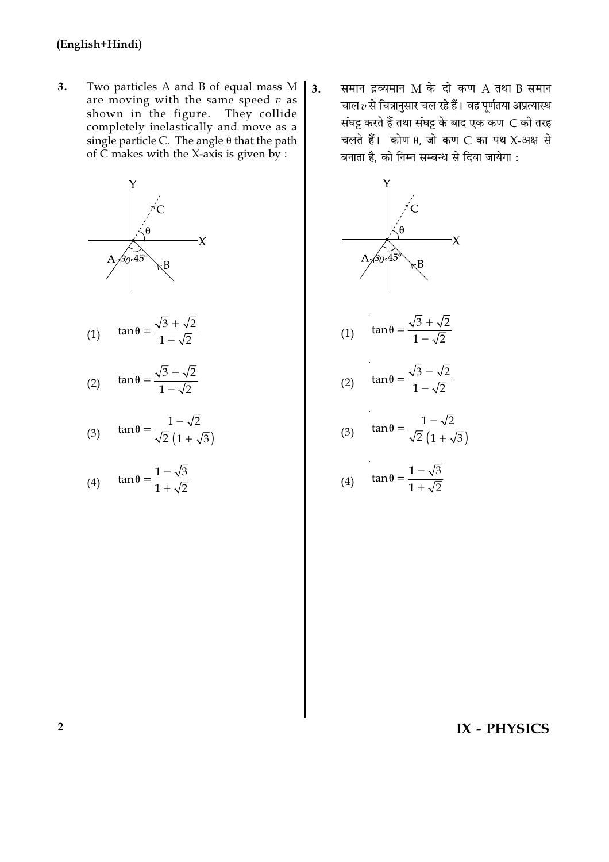$3.$ Two particles A and B of equal mass M are moving with the same speed  $v$  as shown in the figure. They collide completely inelastically and move as a single particle C. The angle  $\theta$  that the path of  $\tilde{C}$  makes with the X-axis is given by :



$$
(1) \quad \tan \theta = \frac{\sqrt{3} + \sqrt{2}}{1 - \sqrt{2}}
$$

$$
(2) \quad \tan \theta = \frac{\sqrt{3} - \sqrt{2}}{1 - \sqrt{2}}
$$

$$
(3) \quad \tan \theta = \frac{1 - \sqrt{2}}{\sqrt{2} \left( 1 + \sqrt{3} \right)}
$$

(4) 
$$
\tan \theta = \frac{1 - \sqrt{3}}{1 + \sqrt{2}}
$$

समान द्रव्यमान M के दो कण A तथा B समान  $\overline{3}$ . चाल  $v$  से चित्रानुसार चल रहे हैं। वह पूर्णतया अप्रत्यास्थ संघट्ट करते हैं तथा संघट्ट के बाद एक कण C की तरह चलते हैं। कोण  $\theta$ , जो कण C का पथ X-अक्ष से बनाता है, को निम्न सम्बन्ध से दिया जायेगा :



$$
(1) \quad \tan \theta = \frac{\sqrt{3} + \sqrt{2}}{1 - \sqrt{2}}
$$

$$
(2) \quad \tan \theta = \frac{\sqrt{3} - \sqrt{2}}{1 - \sqrt{2}}
$$

$$
(3) \quad \tan \theta = \frac{1 - \sqrt{2}}{\sqrt{2} \left( 1 + \sqrt{3} \right)}
$$

(4) 
$$
\tan \theta = \frac{1 - \sqrt{3}}{1 + \sqrt{2}}
$$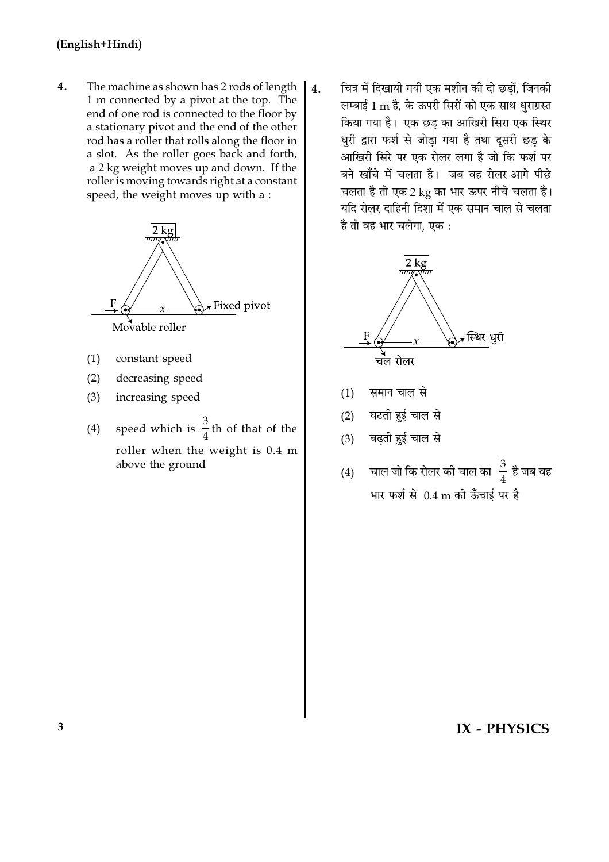$4.$ The machine as shown has 2 rods of length 1 m connected by a pivot at the top. The end of one rod is connected to the floor by a stationary pivot and the end of the other rod has a roller that rolls along the floor in a slot. As the roller goes back and forth, a 2 kg weight moves up and down. If the roller is moving towards right at a constant speed, the weight moves up with a :



- $(1)$ constant speed
- $(2)$ decreasing speed
- $(3)$ increasing speed
- speed which is  $\frac{3}{4}$ th of that of the  $(4)$ roller when the weight is 0.4 m above the ground

चित्र में दिखायी गयी एक मशीन की दो छडों, जिनकी  $\overline{4}$ . लम्बाई 1 m है, के ऊपरी सिरों को एक साथ धुराग्रस्त किया गया है। एक छड़ का आखिरी सिरा एक स्थिर धुरी द्वारा फर्श से जोडा गया है तथा दुसरी छड के आखिरी सिरे पर एक रोलर लगा है जो कि फर्श पर बने खाँचे में चलता है। जब वह रोलर आगे पीछे चलता है तो एक 2 kg का भार ऊपर नीचे चलता है। यदि रोलर दाहिनी दिशा में एक समान चाल से चलता है तो वह भार चलेगा, एक :



- समान चाल से  $(1)$
- घटती हुई चाल से  $(2)$
- बढ़ती हुई चाल से  $(3)$
- चाल जो कि रोलर की चाल का $\frac{3}{4}$  है जब वह  $(4)$ भार फर्श से 0.4 m की ऊँचाई पर है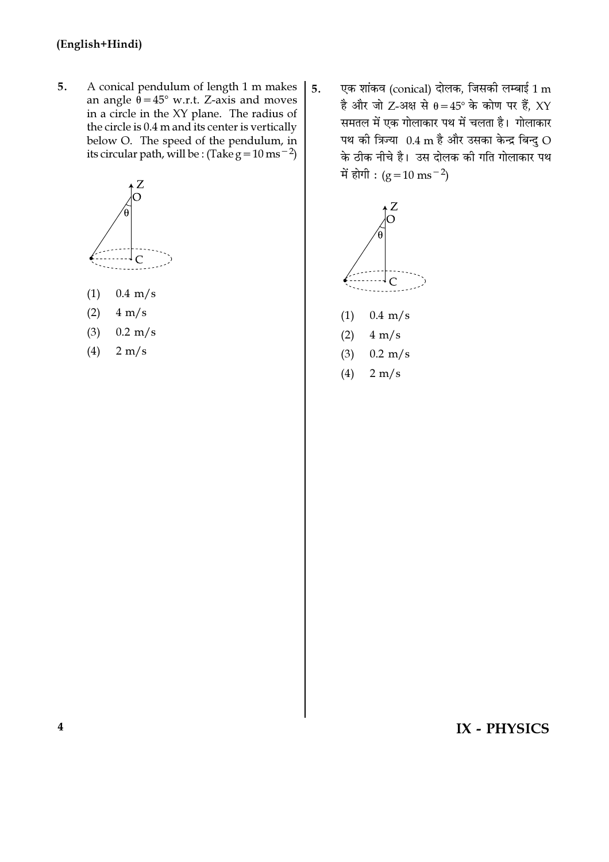5. A conical pendulum of length 1 m makes an angle  $\theta = 45^{\circ}$  w.r.t. Z-axis and moves in a circle in the XY plane. The radius of the circle is 0.4 m and its center is vertically below O. The speed of the pendulum, in its circular path, will be : (Take  $g = 10 \text{ ms}^{-2}$ )



- $0.4 \text{ m/s}$  $(1)$
- $(2)$  $4 \text{ m/s}$
- $(3)$  $0.2 \text{ m/s}$
- $(4)$  $2 \text{ m/s}$

एक शांकव (conical) दोलक, जिसकी लम्बाई  $1\,\mathrm{m}$  $5<sub>1</sub>$ है और जो Z-अक्ष से  $\theta = 45^\circ$  के कोण पर हैं, XY समतल में एक गोलाकार पथ में चलता है। गोलाकार पथ की त्रिज्या 0.4 m है और उसका केन्द्र बिन्द O के ठीक नीचे है। उस दोलक की गति गोलाकार पथ में होगी :  $(g=10 \text{ ms}^{-2})$ 



- $(1)$  $0.4 \text{ m/s}$
- $(2)$  $4 \text{ m/s}$
- $(3)$  $0.2 \text{ m/s}$
- $(4)$  $2 \text{ m/s}$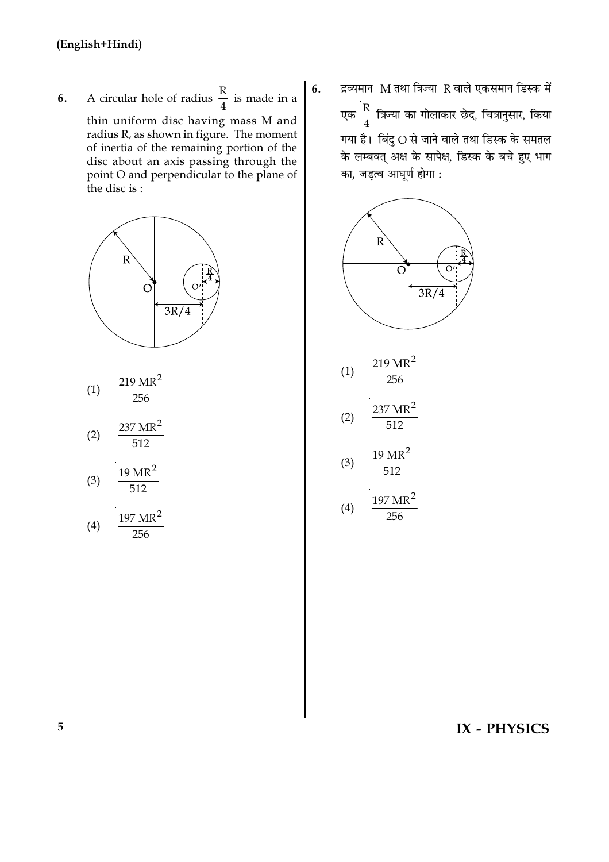**6.** A circular hole of radius  $\frac{R}{4}$  is made in a thin uniform disc having mass M and radius R, as shown in figure. The moment of inertia of the remaining portion of the disc about an axis passing through the point O and perpendicular to the plane of the disc is :





$$
(4) \quad \frac{\cdots}{256}
$$

6. द्रव्यमान $M$  तथा त्रिज्या R वाले एकसमान डिस्क में एक $\frac{R}{4}$  $\frac{\mathsf{K}}{4}$  त्रिज्या का गोलाकार छेद, चित्रानुसार, किया गया है। बिंदु  $O$  से जाने वाले तथा डिस्क के समतल के लम्बवत् अक्ष के सापेक्ष, डिस्क के बचे हुए भाग का, जड़त्व आघूर्ण होगा $:$ 

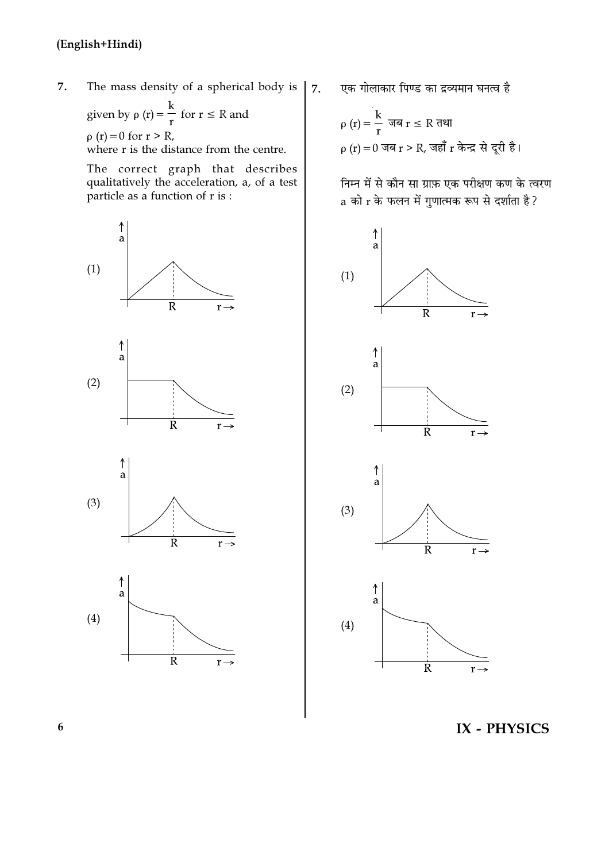7. The mass density of a spherical body is

given by  $\rho(r) = \frac{k}{r}$  for  $r \le R$  and  $\rho(r) = 0$  for  $r > R$ , where r is the distance from the centre.

The correct graph that describes qualitatively the acceleration, a, of a test particle as a function of  $r$  is :



एक गोलाकार पिण्ड का द्रव्यमान घनत्व है

 $\overline{7}$ .

निम्न में से कौन सा ग्राफ़ एक परीक्षण कण के त्वरण a को r के फलन में गुणात्मक रूप से दर्शाता है?



IX - PHYSICS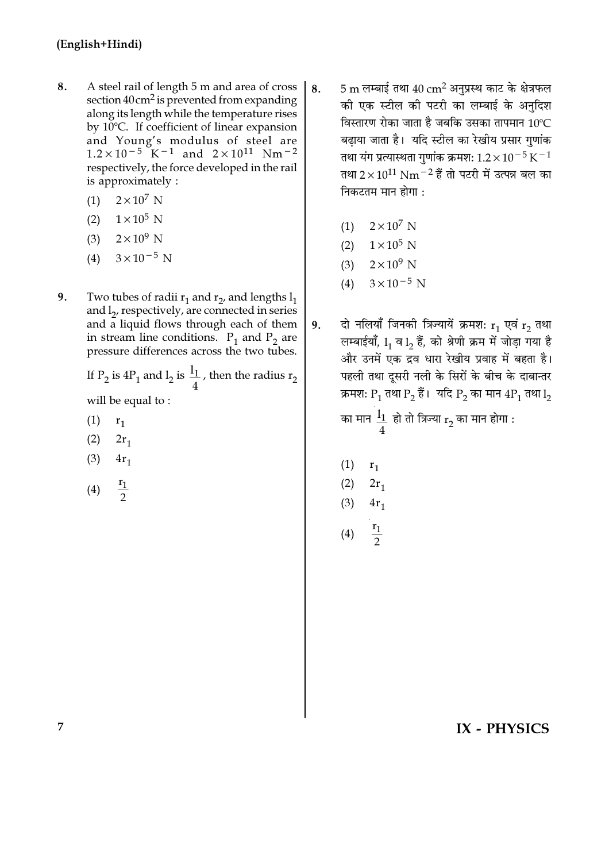- 8. A steel rail of length 5 m and area of cross section  $40 \text{ cm}^2$  is prevented from expanding along its length while the temperature rises by 10°C. If coefficient of linear expansion and Young's modulus of steel are  $1.2 \times 10^{-5}$  K<sup>-1</sup> and  $2 \times 10^{11}$  Nm<sup>-2</sup> respectively, the force developed in the rail is approximately :
	- $(1)$  $2\times10^7$  N
	- $(2)$  $1\times10^5$  N
	- $2\times10^9$  N  $(3)$
	- $(4)$  $3 \times 10^{-5}$  N
- 9. Two tubes of radii  $r_1$  and  $r_2$ , and lengths  $l_1$ and l<sub>2</sub>, respectively, are connected in series and a liquid flows through each of them in stream line conditions.  $P_1$  and  $P_2$  are pressure differences across the two tubes.

If P<sub>2</sub> is 4P<sub>1</sub> and l<sub>2</sub> is  $\frac{1}{4}$ , then the radius r<sub>2</sub>

will be equal to:

- $(1)$  $r_1$
- $(2)$  $2r_1$
- $(3)$  $4r_1$
- $rac{r_1}{2}$  $(4)$
- 5 m लम्बाई तथा  $40 \text{ cm}^2$  अनुप्रस्थ काट के क्षेत्रफल 8. की एक स्टील की पटरी का लम्बाई के अनुदिश विस्तारण रोका जाता है जबकि उसका तापमान 10°C बढाया जाता है। यदि स्टील का रेखीय प्रसार गणांक तथा यंग प्रत्यास्थता गुणांक क्रमश:  $1.2 \times 10^{-5}$  K $^{-1}$ तथा 2 $\times$ 10<sup>11</sup> Nm<sup>-2</sup> हैं तो पटरी में उत्पन्न बल का निकटतम मान होगा $\cdot$ 
	- (1)  $2 \times 10^7$  N
	- (2)  $1 \times 10^5$  N
	- (3)  $2 \times 10^9$  N
	- $3 \times 10^{-5}$  N  $(4)$
- दो नलियाँ जिनकी त्रिज्यायें क्रमश:  $r_1$  एवं  $r_2$  तथा 9. लम्बाईयाँ, 1, व 1, हैं, को श्रेणी क्रम में जोड़ा गया है और उनमें एक द्रव धारा रेखीय प्रवाह में बहता है। पहली तथा दूसरी नली के सिरों के बीच के दाबान्तर क्रमशः  $P_1$  तथा  $P_2$  हैं। यदि  $P_2$  का मान  $4P_1$  तथा  $l_2$

का मान  $\frac{1_1}{4}$  हो तो त्रिज्या  $\rm r^{}_2$  का मान होगा :

- $(1)$  $r<sub>1</sub>$
- $(2)$  $2r_1$  $(3)$  $4r_1$
- 
- $\frac{r_1}{\sqrt{r_1}}$  $(4)$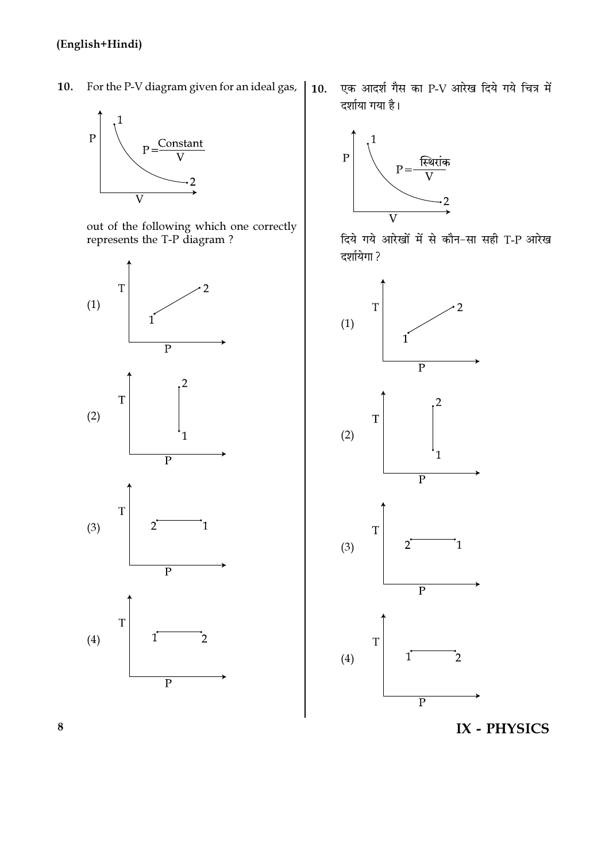For the P-V diagram given for an ideal gas, 10.



out of the following which one correctly<br>represents the T-P diagram?



एक आदर्श गैस का P-V आरेख दिये गये चित्र में  $10.$ दर्शाया गया है।



दिये गये आरेखों में से कौन-सा सही T-P आरेख दर्शायेगा ?



IX - PHYSICS

 $\bf{8}$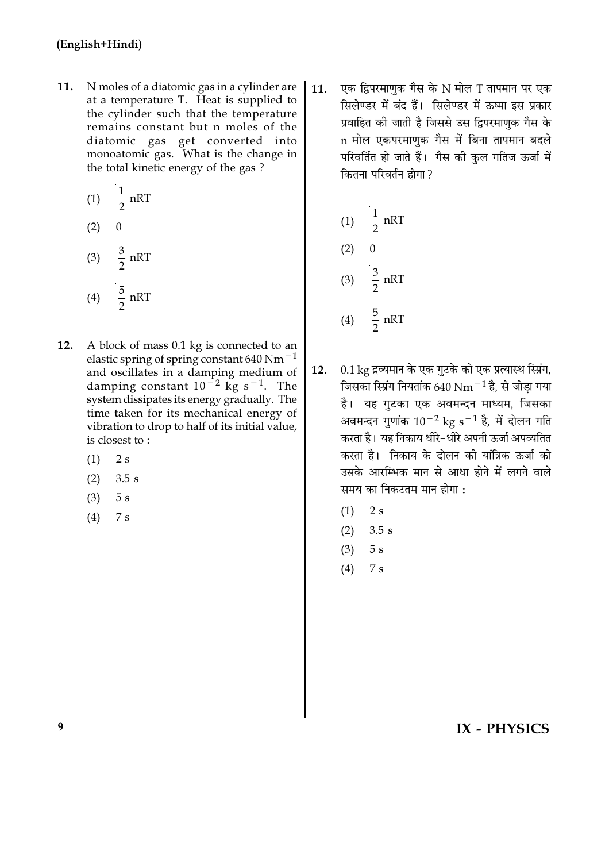- N moles of a diatomic gas in a cylinder are 11. at a temperature T. Heat is supplied to the cylinder such that the temperature remains constant but n moles of the diatomic gas get converted into monoatomic gas. What is the change in the total kinetic energy of the gas?
	- $rac{1}{2}$  nRT  $(1)$  $\overline{0}$  $(2)$
	- (3)  $\frac{3}{2} nRT$ (4)  $\frac{5}{2}$  nRT
- $12.$ A block of mass 0.1 kg is connected to an elastic spring of spring constant 640 Nm<sup> $-1$ </sup> and oscillates in a damping medium of damping constant  $10^{-2}$  kg s<sup>-1</sup>. The system dissipates its energy gradually. The time taken for its mechanical energy of vibration to drop to half of its initial value, is closest to:
	- $2s$  $(1)$
	- $(2)$  $3.5s$
	- $(3)$  $5s$
	- $(4)$  $7s$

एक द्विपरमाणुक गैस के N मोल T तापमान पर एक  $11.$ सिलेण्डर में बंद हैं। सिलेण्डर में ऊष्मा इस प्रकार प्रवाहित की जाती है जिससे उस द्विपरमाणुक गैस के n मोल एकपरमाणक गैस में बिना तापमान बदले परिवर्तित हो जाते हैं। गैस की कुल गतिज ऊर्जा में कितना परिवर्तन होगा ?

(1) 
$$
\frac{1}{2}
$$
 nRT  
\n(2) 0  
\n(3)  $\frac{3}{2}$  nRT  
\n(4)  $\frac{5}{2}$  nRT

- 0.1 kg द्रव्यमान के एक गुटके को एक प्रत्यास्थ स्प्रिंग,  $12.$ जिसका स्प्रिंग नियतांक 640 Nm<sup>-1</sup> है. से जोड़ा गया है। यह गुटका एक अवमन्दन माध्यम, जिसका अवमन्दन गुणांक  $10^{-2}$  kg s<sup>-1</sup> है, में दोलन गति करता है। यह निकाय धीरे-धीरे अपनी ऊर्जा अपव्यतित करता है। निकाय के दोलन की यांत्रिक ऊर्जा को उसके आरम्भिक मान से आधा होने में लगने वाले समय का निकटतम मान होगा :
	- $(1)$  $2s$
	- $(2)$  $3.5 s$
	- $(3)$  $5s$
	- $(4)$  $7s$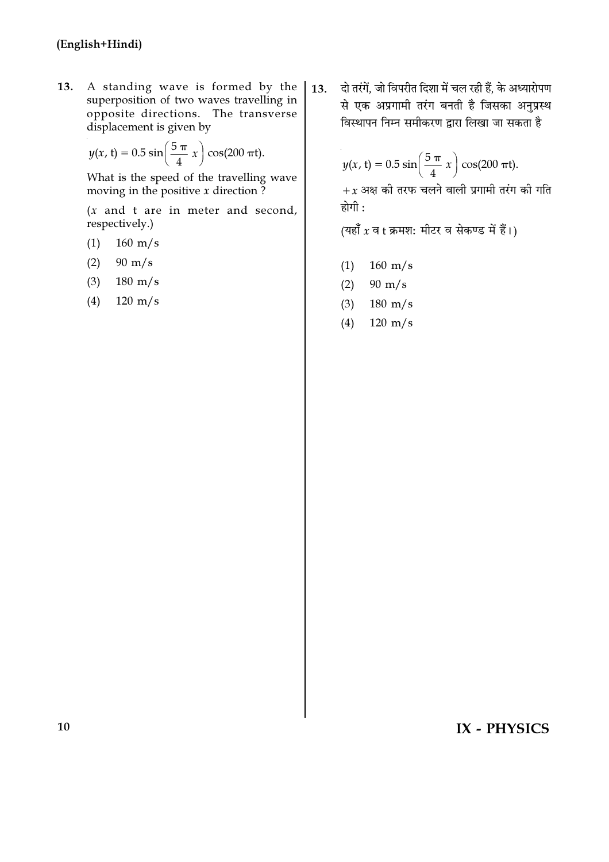13. A standing wave is formed by the superposition of two waves travelling in opposite directions. The transverse displacement is given by

$$
y(x, t) = 0.5 \sin\left(\frac{5 \pi}{4} x\right) \cos(200 \pi t).
$$

What is the speed of the travelling wave moving in the positive  $x$  direction ?

 $(x$  and t are in meter and second, respectively.)

 $160 \text{ m/s}$  $(1)$ 

 $(2)$  $90 \text{ m/s}$ 

 $(3)$  $180 \text{ m/s}$ 

 $120 \text{ m/s}$  $(4)$ 

दो तरंगें, जो विपरीत दिशा में चल रही हैं, के अध्यारोपण  $\overline{13}$ . से एक अप्रगामी तरंग बनती है जिसका अनुप्रस्थ विस्थापन निम्न समीकरण द्वारा लिखा जा सकता है

> $y(x, t) = 0.5 \sin\left(\frac{5 \pi}{4} x\right) \cos(200 \pi t).$  $+x$  अक्ष की तरफ चलने वाली प्रगामी तरंग की गति

(यहाँ  $x$  व t क्रमश: मीटर व सेकण्ड में हैं।)

 $160 \text{ m/s}$  $(1)$ 

होगी :

- $(2)$  $90 \text{ m/s}$
- $(3)$  $180 \text{ m/s}$
- $(4)$  $120 \text{ m/s}$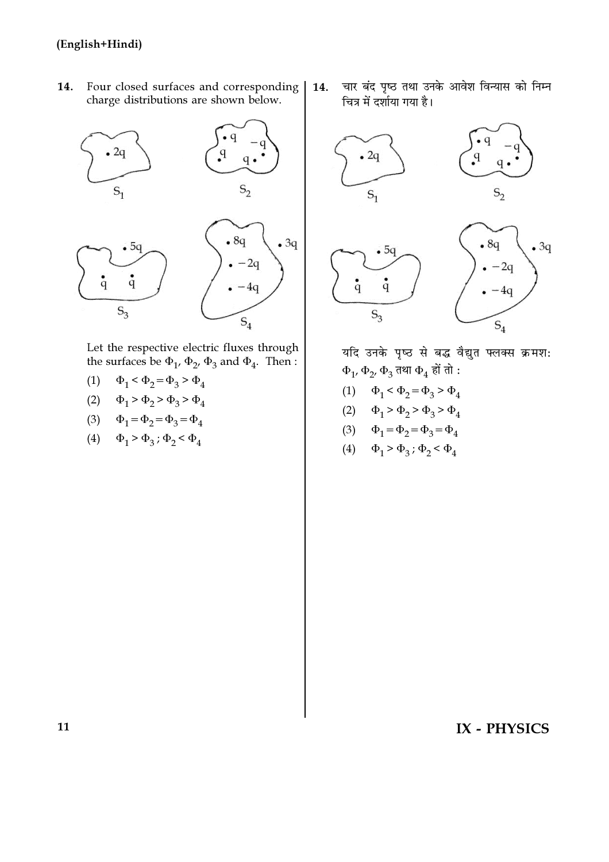Four closed surfaces and corresponding 14. charge distributions are shown below.



Let the respective electric fluxes through the surfaces be  $\Phi_1$ ,  $\Phi_2$ ,  $\Phi_3$  and  $\Phi_4$ . Then :

- (1)  $\Phi_1 < \Phi_2 = \Phi_3 > \Phi_4$
- (2)  $\Phi_1 > \Phi_2 > \Phi_3 > \Phi_4$
- (3)  $\Phi_1 = \Phi_2 = \Phi_3 = \Phi_4$
- (4)  $\Phi_1 > \Phi_3$ ;  $\Phi_2 < \Phi_4$

चार बंद पृष्ठ तथा उनके आवेश विन्यास को निम्न 14. चित्र में दर्शाया गया है।



यदि उनके पृष्ठ से बद्ध वैद्युत फ्लक्स क्रमश:  $\Phi_1$ ,  $\Phi_2$ ,  $\Phi_3$  तथा  $\Phi_4$  हों तो :

- (1)  $\Phi_1 < \Phi_2 = \Phi_3 > \Phi_4$
- (2)  $\Phi_1 > \Phi_2 > \Phi_3 > \Phi_4$
- (3)  $\Phi_1 = \Phi_2 = \Phi_3 = \Phi_4$
- (4)  $\Phi_1 > \Phi_3$ ;  $\Phi_2 < \Phi_4$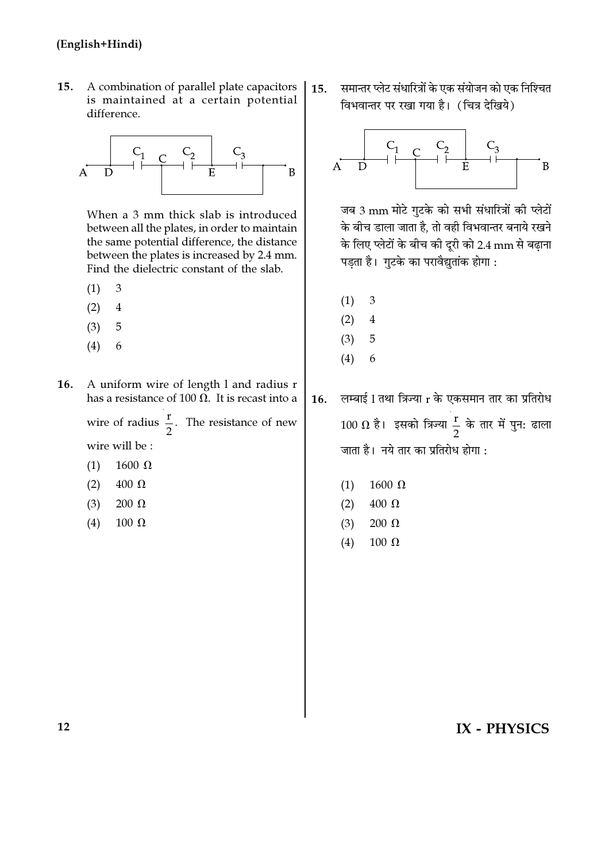$15.$ A combination of parallel plate capacitors is maintained at a certain potential difference.



When a 3 mm thick slab is introduced between all the plates, in order to maintain the same potential difference, the distance between the plates is increased by 2.4 mm. Find the dielectric constant of the slab.

- $(1)$  $\mathcal{R}$
- $(2)$  $\overline{4}$
- $(3)$ 5
- $(4)$ 6
- 16. A uniform wire of length l and radius r has a resistance of 100  $\Omega$ . It is recast into a

wire of radius  $\frac{r}{2}$ . The resistance of new

wire will be :

- 1600  $\Omega$  $(1)$
- $(2)$  $400 \Omega$
- $(3)$  $200 \Omega$
- $(4)$  $100 \Omega$

समान्तर प्लेट संधारित्रों के एक संयोजन को एक निश्चित  $15.$ विभवान्तर पर रखा गया है। (चित्र देखिये)



जब 3 mm मोटे गटके को सभी संधारित्रों की प्लेटों के बीच डाला जाता है. तो वही विभवान्तर बनाये रखने के लिए प्लेटों के बीच की दूरी को 2.4 mm से बढ़ाना पड़ता है। गुटके का परावैद्युतांक होगा :

- $\overline{\mathcal{E}}$  $(1)$
- $(2)$  $\overline{4}$
- $(3)$ 5
- $(4)$ 6

लम्बाई 1 तथा त्रिज्या r के एकसमान तार का प्रतिरोध 16.  $100 \Omega$  है। इसको त्रिज्या  $\frac{r}{2}$  के तार में पुन: ढाला जाता है। नये तार का प्रतिरोध होगा:

- $(1)$  $1600 \Omega$
- $400 \Omega$  $(2)$
- $(3)$  $200 \Omega$
- $(4)$ 100 $\Omega$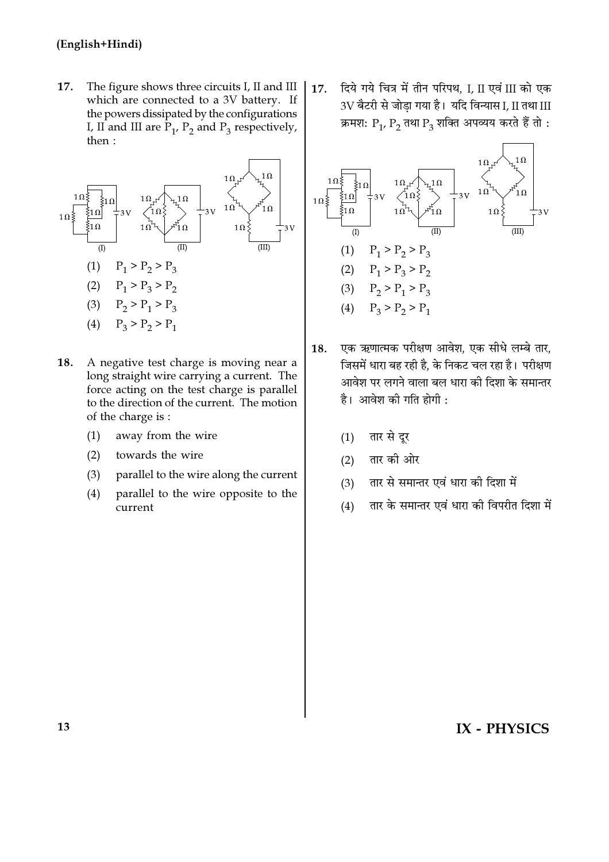17. The figure shows three circuits I, II and III which are connected to a 3V battery. If the powers dissipated by the configurations I, II and III are  $P_1$ ,  $P_2$  and  $P_3$  respectively, then:



- 18. A negative test charge is moving near a long straight wire carrying a current. The force acting on the test charge is parallel to the direction of the current. The motion of the charge is :
	- away from the wire  $(1)$
	- $(2)$ towards the wire
	- parallel to the wire along the current  $(3)$
	- parallel to the wire opposite to the  $(4)$ current

दिये गये चित्र में तीन परिपथ. I. II एवं III को एक  $17.$ 3V बैटरी से जोडा गया है। यदि विन्यास I, II तथा III क्रमश:  $P_1$ ,  $P_2$  तथा  $P_3$  शक्ति अपव्यय करते हैं तो :



- एक ऋणात्मक परीक्षण आवेश, एक सीधे लम्बे तार, 18. जिसमें धारा बह रही है. के निकट चल रहा है। परीक्षण आवेश पर लगने वाला बल धारा की दिशा के समान्तर है। आवेश की गति होगी :
	- तार से दूर  $(1)$
	- तार की ओर  $(2)$
	- तार से समान्तर एवं धारा की दिशा में  $(3)$
	- तार के समान्तर एवं धारा की विपरीत दिशा में  $(4)$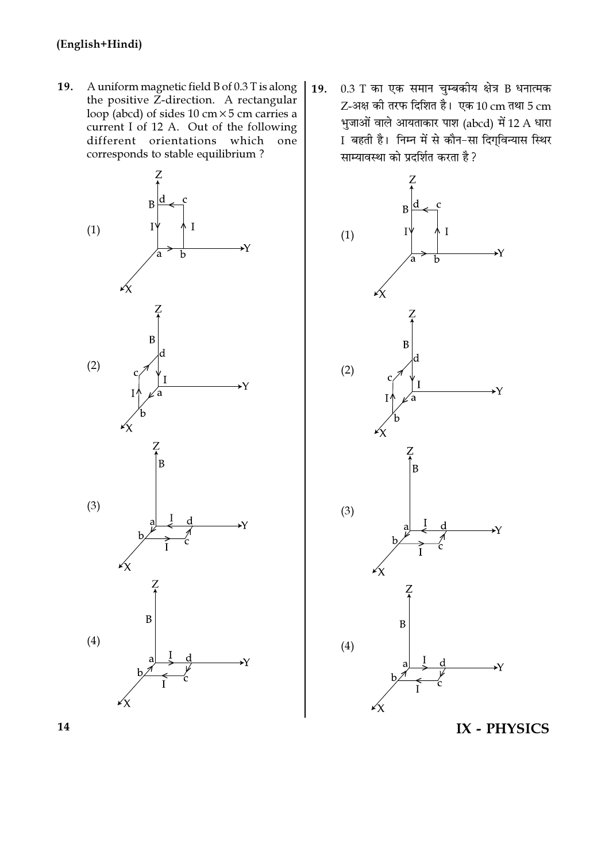19. A uniform magnetic field B of 0.3 T is along the positive Z-direction. A rectangular loop (abcd) of sides 10 cm $\times$ 5 cm carries a current I of 12 A. Out of the following different orientations which one corresponds to stable equilibrium?



 $0.3$  T का एक समान चुम्बकीय क्षेत्र B धनात्मक **19.**  $Z$ -अक्ष की तरफ दिशित है। एक  $10 \text{ cm}$  तथा 5  $\text{ cm}$ भुजाओं वाले आयताकार पाश (abcd) में 12 A धारा Ⅰ बहती है। निम्न में से कौन−सा दिग्विन्यास स्थिर साम्यावस्था को प्रदर्शित करता है ?

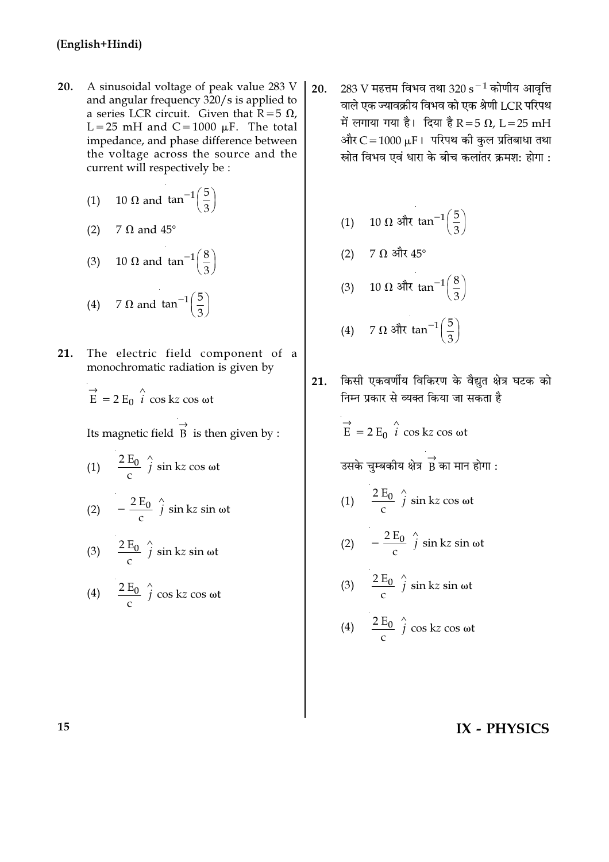- 20. A sinusoidal voltage of peak value 283 V and angular frequency 320/s is applied to a series LCR circuit. Given that  $\overline{R} = 5 \Omega$ , L=25 mH and C=1000  $\mu$ F. The total impedance, and phase difference between the voltage across the source and the current will respectively be :
	- 10  $\Omega$  and tan<sup>-1</sup> $\left(\frac{5}{3}\right)$  $(1)$
	- 7  $\Omega$  and  $45^{\circ}$  $(2)$

(3) 10 
$$
\Omega
$$
 and  $\tan^{-1}\left(\frac{8}{3}\right)$   
(4) 7  $\Omega$  and  $\tan^{-1}\left(\frac{5}{3}\right)$ 

21. The electric field component of a monochromatic radiation is given by

$$
\vec{E} = 2 E_0 \hat{i} \cos kz \cos \omega t
$$

Its magnetic field  $\overrightarrow{B}$  is then given by :

(1)  $\frac{2 E_0}{c} \hat{j} \sin kz \cos \omega t$ 

(2) 
$$
-\frac{2 E_0}{c} \hat{j} \sin kz \sin \omega t
$$

(3)  $\frac{2 E_0}{c}$   $\hat{j}$  sin kz sin wt

(4) 
$$
\frac{2 E_0}{c} \int_{0}^{c} \cos kz \cos \omega t
$$

283 V महत्तम विभव तथा 320 s $^{-1}$  कोणीय आवृत्ति  $20.$ वाले एक ज्यावक्रीय विभव को एक श्रेणी LCR परिपथ में लगाया गया है। दिया है R = 5  $\Omega$ , L = 25 mH और  $C = 1000 \mu F$ । परिपथ की कुल प्रतिबाधा तथा स्रोत विभव एवं धारा के बीच कलांतर क्रमश: होगा :

$$
(1) \quad 10 \ \Omega \text{ and } \tan^{-1}\left(\frac{5}{3}\right)
$$

- (2)  $7 \Omega$  और  $45^{\circ}$
- (3) 10 Ω और  $\tan^{-1}\left(\frac{8}{3}\right)$

(4) 7 
$$
\Omega
$$
  $\text{3/3}$  tan<sup>-1</sup> $\left(\frac{5}{3}\right)$ 

किसी एकवर्णीय विकिरण के वैद्युत क्षेत्र घटक को 21. निम्न प्रकार से व्यक्त किया जा सकता है

 $\vec{E}$  = 2  $E_0$   $\hat{i}$  cos kz cos ωt

उसके चुम्बकीय क्षेत्र $\overrightarrow{B}$  का मान होगा :

- (1)  $\frac{2 E_0}{c} \hat{j} \sin kz \cos \omega t$
- (2)  $-\frac{2E_0}{c}$   $\hat{j}$  sin kz sin wt

(3) 
$$
\frac{2 E_0}{c} \hat{j} \sin kz \sin \omega t
$$

(4) 
$$
\frac{2 E_0}{c} \int_{c}^{\infty} \cos kz \cos \omega t
$$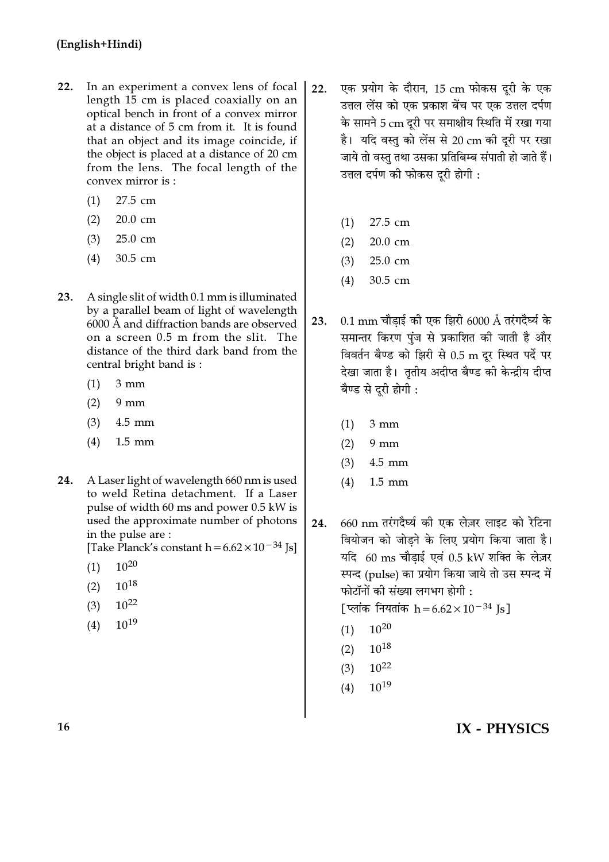- In an experiment a convex lens of focal  $22.$ length 15 cm is placed coaxially on an optical bench in front of a convex mirror at a distance of 5 cm from it. It is found that an object and its image coincide, if the object is placed at a distance of 20 cm from the lens. The focal length of the convex mirror is:
	- 27.5 cm  $(1)$
	- 20.0 cm  $(2)$
	- $(3)$ 25.0 cm
	- $(4)$ 30.5 cm
- A single slit of width 0.1 mm is illuminated 23. by a parallel beam of light of wavelength 6000 Å and diffraction bands are observed on a screen 0.5 m from the slit. The distance of the third dark band from the central bright band is:
	- $3 \text{ mm}$  $(1)$
	- $(2)$  $9 \text{ mm}$
	- $(3)$  $4.5$  mm
	- $(4)$  $1.5$  mm
- A Laser light of wavelength 660 nm is used 24. to weld Retina detachment. If a Laser pulse of width 60 ms and power 0.5 kW is used the approximate number of photons in the pulse are:

[Take Planck's constant  $h = 6.62 \times 10^{-34}$  Js]

- $10^{20}$  $(1)$
- $10^{18}$  $(2)$
- $10^{22}$  $(3)$
- $10^{19}$  $(4)$
- एक प्रयोग के दौरान, 15 cm फोकस दूरी के एक  $22.$ उत्तल लेंस को एक प्रकाश बेंच पर एक उत्तल दर्पण के सामने 5 cm दूरी पर समाक्षीय स्थिति में रखा गया है। यदि वस्तु को लेंस से 20 cm की दुरी पर रखा जाये तो वस्तु तथा उसका प्रतिबिम्ब संपाती हो जाते हैं। उत्तल दर्पण की फोकस दूरी होगी :
	- 27.5 cm  $(1)$
	- $(2)$  $20.0 \text{ cm}$
	- 25.0 cm  $(3)$
	- $(4)$ 30.5 cm
- $0.1$  mm चौडाई की एक झिरी 6000 Å तरंगदैर्घ्य के  $23.$ समान्तर किरण पंज से प्रकाशित की जाती है और विवर्तन बैण्ड को झिरी से 0.5 m दर स्थित पर्दे पर देखा जाता है। तृतीय अदीप्त बैण्ड की केन्द्रीय दीप्त बैण्ड से दरी होगी :
	- $(1)$  $3 \text{ mm}$
	- $(2)$  $9 \text{ mm}$
	- $(3)$  $4.5$  mm
	- $1.5$  mm  $(4)$
- 660 nm तरंगदैर्घ्य की एक लेज़र लाइट को रेटिना 24. वियोजन को जोडने के लिए प्रयोग किया जाता है। यदि 60 ms चौडाई एवं 0.5 kW शक्ति के लेज़र स्पन्द (pulse) का प्रयोग किया जाये तो उस स्पन्द में फोटॉनों की संख्या लगभग होगी :

[ प्लांक नियतांक  $h = 6.62 \times 10^{-34}$  Js]

- $10^{20}$  $(1)$
- $(2)$   $10^{18}$
- $10^{22}$  $(3)$
- $10^{19}$  $(4)$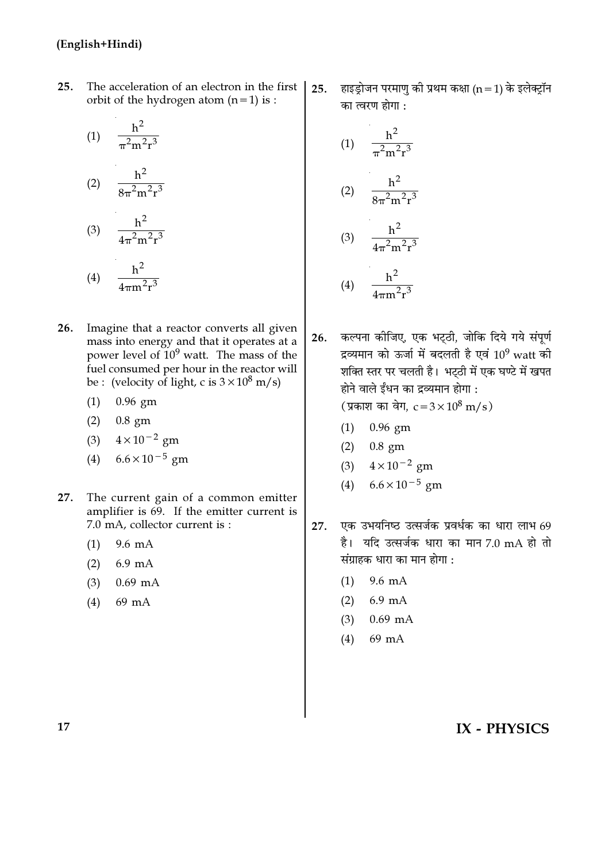$25.$ The acceleration of an electron in the first orbit of the hydrogen atom  $(n=1)$  is :

(1) 
$$
\frac{h^2}{\pi^2 m^2 r^3}
$$
  
\n(2)  $\frac{h^2}{8\pi^2 m^2 r^3}$   
\n(3)  $\frac{h^2}{4\pi^2 m^2 r^3}$ 

(4) 
$$
\frac{h^2}{4\pi m^2 r^3}
$$

- $26.$ Imagine that a reactor converts all given mass into energy and that it operates at a power level of  $10^9$  watt. The mass of the fuel consumed per hour in the reactor will be: (velocity of light, c is  $3 \times 10^8$  m/s)
	- $(1)$  0.96 gm
	- $(2)$  0.8 gm
	- (3)  $4 \times 10^{-2}$  gm
	- (4)  $6.6 \times 10^{-5}$  gm
- The current gain of a common emitter 27. amplifier is 69. If the emitter current is 7.0 mA, collector current is :
	- $9.6 \text{ mA}$  $(1)$
	- $(2)$  $6.9 \text{ mA}$
	- $(3)$  $0.69$  mA
	- 69 mA  $(4)$

हाइड़ोजन परमाणु की प्रथम कक्षा (n = 1) के इलेक्ट्रॉन  $25.$ का त्वरण होगा :

(1) 
$$
\frac{h^2}{\pi^2 m^2 r^3}
$$
  
\n(2) 
$$
\frac{h^2}{8\pi^2 m^2 r^3}
$$
  
\n(3) 
$$
\frac{h^2}{4\pi^2 m^2 r^3}
$$
  
\n(4) 
$$
\frac{h^2}{4\pi m^2 r^3}
$$

कल्पना कीजिए, एक भट्ठी, जोकि दिये गये संपूर्ण 26. द्रव्यमान को ऊर्जा में बदलती है एवं  $10^9$  watt की शक्ति स्तर पर चलती है। भट्ठी में एक घण्टे में खपत होने वाले ईंधन का द्रव्यमान होगा :

(प्रकाश का वेग,  $c = 3 \times 10^8$  m/s)

- $(1)$  0.96 gm
- $(2)$  0.8 gm
- (3)  $4 \times 10^{-2}$  gm
- (4)  $6.6 \times 10^{-5}$  gm
- एक उभयनिष्ठ उत्सर्जक प्रवर्धक का धारा लाभ 69 27. है। यदि उत्सर्जक धारा का मान 7.0 mA हो तो संग्राहक धारा का मान होगा :
	- 9.6 mA  $(1)$
	- $(2)$  6.9 mA
	- $(3)$  0.69 mA
	- 69 mA  $(4)$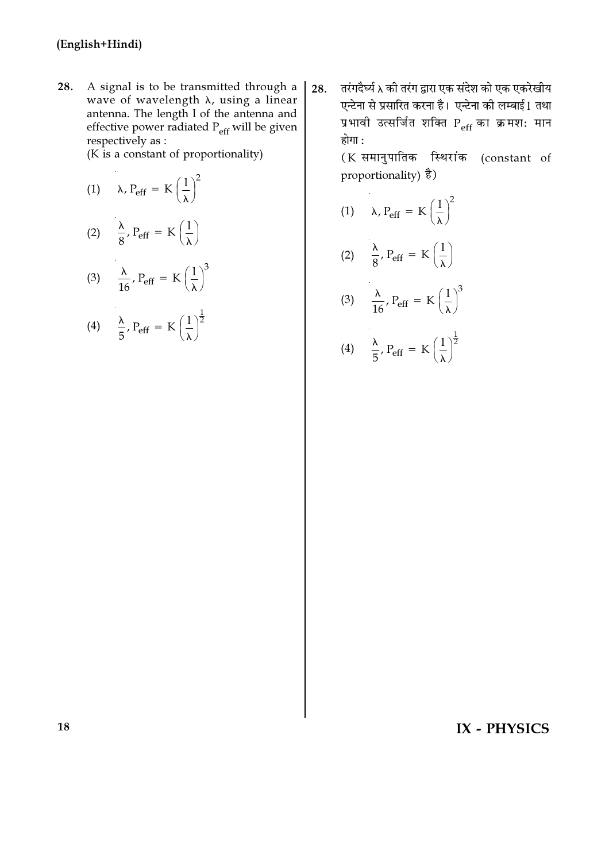28. A signal is to be transmitted through a wave of wavelength  $\lambda$ , using a linear antenna. The length 1 of the antenna and<br>effective power radiated  $P_{\text{eff}}$  will be given respectively as :

 $(K \text{ is a constant of proportionality})$ 

| (1) $\lambda$ , P <sub>eff</sub> = K $\left(\frac{1}{\lambda}\right)^2$         |
|---------------------------------------------------------------------------------|
| (2) $\frac{\lambda}{8}$ , P <sub>eff</sub> = K $\left(\frac{1}{\lambda}\right)$ |

(3) 
$$
\frac{\lambda}{16}, P_{\text{eff}} = K \left(\frac{1}{\lambda}\right)^3
$$

$$
(4) \quad \frac{\lambda}{5}, P_{\text{eff}} = K \left(\frac{1}{\lambda}\right)^{\frac{1}{2}}
$$

तरंगदैर्घ्य λ की तरंग द्वारा एक संदेश को एक एकरेखीय 28. एन्टेना से प्रसारित करना है। एन्टेना की लम्बाई 1 तथा प्रभावी उत्सर्जित शक्ति Peff का क्रमश: मान होगा :

> (K समानुपातिक स्थिरांक (constant of proportionality)  $\dot{\vec{z}}$ )

$$
(1) \qquad \lambda, P_{eff} = K \left(\frac{1}{\lambda}\right)^2
$$

$$
(2) \quad \frac{\lambda}{8}, P_{eff} = K\left(\frac{1}{\lambda}\right)
$$

(3) 
$$
\frac{\lambda}{16}, P_{\text{eff}} = K \left(\frac{1}{\lambda}\right)^3
$$

(4) 
$$
\frac{\lambda}{5}
$$
,  $P_{\text{eff}} = K \left(\frac{1}{\lambda}\right)^{\frac{1}{2}}$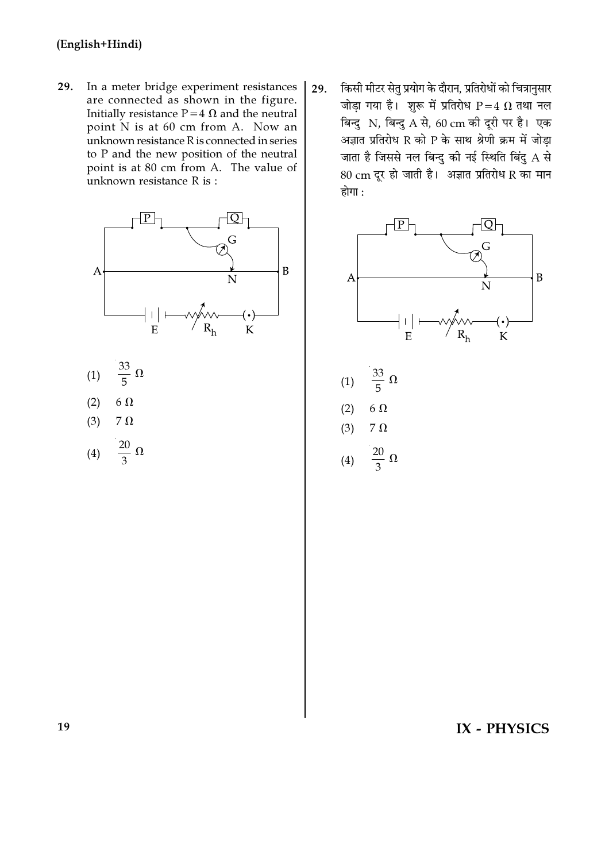29. In a meter bridge experiment resistances are connected as shown in the figure. Initially resistance  $P=4 \Omega$  and the neutral point N is at 60 cm from A. Now an unknown resistance R is connected in series to P and the new position of the neutral point is at 80 cm from A. The value of unknown resistance R is :



- (1) 33 5  $\overline{\Omega}$
- (2) 6  $\Omega$
- (3)  $7 \Omega$

$$
(4) \quad \frac{20}{3} \ \Omega
$$

29. किसी मीटर सेतु प्रयोग के दौरान, प्रतिरोधों को चित्रानुसार जोड़ा गया है। शुरू में प्रतिरोध  $P=4$   $\Omega$  तथा नल बिन्दु N, बिन्दु A से, 60 cm की दूरी पर है। एक  $\overline{a}$ आज्ञात प्रतिरोध R को P के साथ श्रेणी क्रम में जोडा जाता है जिससे नल बिन्दु की नई स्थिति बिंदु  ${\rm A}$  से  $80 \text{ cm}$  दूर हो जाती है। अज्ञात प्रतिरोध R का मान होगा $:$ 



(1) 33 5  $\Omega$  $(2)$  6  $\Omega$ (3)  $7 \Omega$ (4) 20 3  $\overline{\Omega}$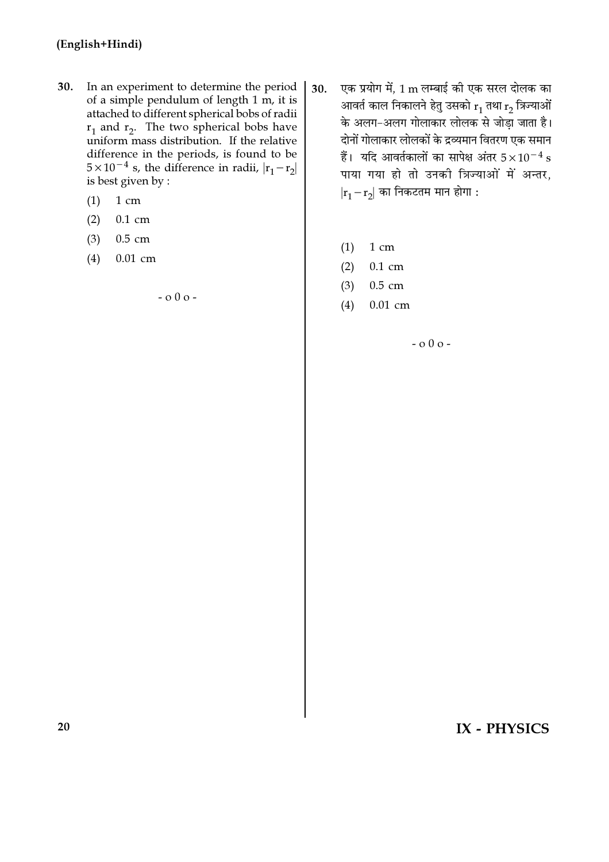- $30.$ In an experiment to determine the period of a simple pendulum of length 1 m, it is attached to different spherical bobs of radii  $r_1$  and  $r_2$ . The two spherical bobs have uniform mass distribution. If the relative difference in the periods, is found to be  $5 \times 10^{-4}$  s, the difference in radii,  $|r_1 - r_2|$ is best given by :
	- $1 \text{ cm}$  $(1)$
	- $(2)$  $0.1$  cm
	- $0.5$  cm  $(3)$
	- $(4)$  $0.01$  cm

 $-000-$ 

- एक प्रयोग में, 1 m लम्बाई की एक सरल दोलक का 30. आवर्त काल निकालने हेतु उसको  $\rm r_1$  तथा  $\rm r_2$  त्रिज्याओं के अलग-अलग गोलाकार लोलक से जोड़ा जाता है। दोनों गोलाकार लोलकों के द्रव्यमान वितरण एक समान हैं। यदि आवर्तकालों का सापेक्ष अंतर  $5\times10^{-4}~\rm s$ पाया गया हो तो उनकी त्रिज्याओं में अन्तर,  $|r_1-r_2|$  का निकटतम मान होगा :
	- $(1)$ 1 cm
	- $(2)$  $0.1$  cm
	- $0.5$  cm  $(3)$
	- $0.01$  cm  $(4)$

 $-000-$